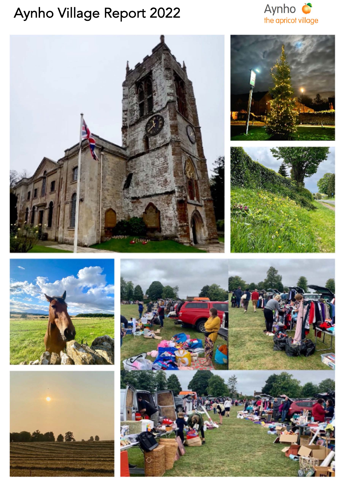# Aynho Village Report 2022









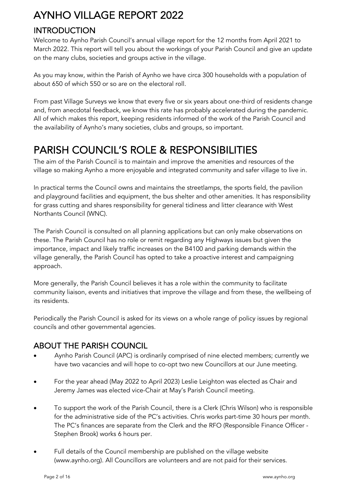### **INTRODUCTION**

Welcome to Aynho Parish Council's annual village report for the 12 months from April 2021 to March 2022. This report will tell you about the workings of your Parish Council and give an update on the many clubs, societies and groups active in the village.

As you may know, within the Parish of Aynho we have circa 300 households with a population of about 650 of which 550 or so are on the electoral roll.

From past Village Surveys we know that every five or six years about one-third of residents change and, from anecdotal feedback, we know this rate has probably accelerated during the pandemic. All of which makes this report, keeping residents informed of the work of the Parish Council and the availability of Aynho's many societies, clubs and groups, so important.

### PARISH COUNCIL'S ROLE & RESPONSIBILITIES

The aim of the Parish Council is to maintain and improve the amenities and resources of the village so making Aynho a more enjoyable and integrated community and safer village to live in.

In practical terms the Council owns and maintains the streetlamps, the sports field, the pavilion and playground facilities and equipment, the bus shelter and other amenities. It has responsibility for grass cutting and shares responsibility for general tidiness and litter clearance with West Northants Council (WNC).

The Parish Council is consulted on all planning applications but can only make observations on these. The Parish Council has no role or remit regarding any Highways issues but given the importance, impact and likely traffic increases on the B4100 and parking demands within the village generally, the Parish Council has opted to take a proactive interest and campaigning approach.

More generally, the Parish Council believes it has a role within the community to facilitate community liaison, events and initiatives that improve the village and from these, the wellbeing of its residents.

Periodically the Parish Council is asked for its views on a whole range of policy issues by regional councils and other governmental agencies.

### ABOUT THE PARISH COUNCIL

- Aynho Parish Council (APC) is ordinarily comprised of nine elected members; currently we have two vacancies and will hope to co-opt two new Councillors at our June meeting.
- For the year ahead (May 2022 to April 2023) Leslie Leighton was elected as Chair and Jeremy James was elected vice-Chair at May's Parish Council meeting.
- To support the work of the Parish Council, there is a Clerk (Chris Wilson) who is responsible for the administrative side of the PC's activities. Chris works part-time 30 hours per month. The PC's finances are separate from the Clerk and the RFO (Responsible Finance Officer - Stephen Brook) works 6 hours per.
- Full details of the Council membership are published on the village website (www.aynho.org). All Councillors are volunteers and are not paid for their services.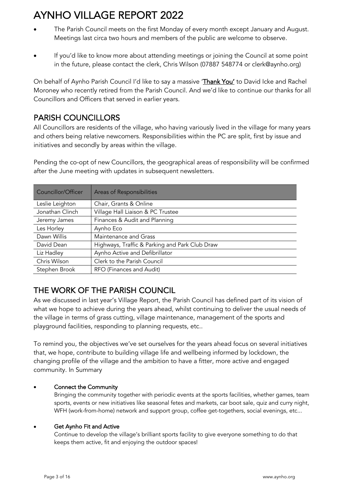- The Parish Council meets on the first Monday of every month except January and August. Meetings last circa two hours and members of the public are welcome to observe.
- If you'd like to know more about attending meetings or joining the Council at some point in the future, please contact the clerk, Chris Wilson (07887 548774 or clerk@aynho.org)

On behalf of Aynho Parish Council I'd like to say a massive 'Thank You' to David Icke and Rachel Moroney who recently retired from the Parish Council. And we'd like to continue our thanks for all Councillors and Officers that served in earlier years.

### PARISH COUNCILLORS

All Councillors are residents of the village, who having variously lived in the village for many years and others being relative newcomers. Responsibilities within the PC are split, first by issue and initiatives and secondly by areas within the village.

Pending the co-opt of new Councillors, the geographical areas of responsibility will be confirmed after the June meeting with updates in subsequent newsletters.

| Councillor/Officer | Areas of Responsibilities                      |
|--------------------|------------------------------------------------|
| Leslie Leighton    | Chair, Grants & Online                         |
| Jonathan Clinch    | Village Hall Liaison & PC Trustee              |
| Jeremy James       | Finances & Audit and Planning                  |
| Les Horley         | Aynho Eco                                      |
| Dawn Willis        | Maintenance and Grass                          |
| David Dean         | Highways, Traffic & Parking and Park Club Draw |
| Liz Hadley         | Aynho Active and Defibrillator                 |
| Chris Wilson       | Clerk to the Parish Council                    |
| Stephen Brook      | RFO (Finances and Audit)                       |

### THE WORK OF THE PARISH COUNCIL

As we discussed in last year's Village Report, the Parish Council has defined part of its vision of what we hope to achieve during the years ahead, whilst continuing to deliver the usual needs of the village in terms of grass cutting, village maintenance, management of the sports and playground facilities, responding to planning requests, etc..

To remind you, the objectives we've set ourselves for the years ahead focus on several initiatives that, we hope, contribute to building village life and wellbeing informed by lockdown, the changing profile of the village and the ambition to have a fitter, more active and engaged community. In Summary

#### • Connect the Community

Bringing the community together with periodic events at the sports facilities, whether games, team sports, events or new initiatives like seasonal fetes and markets, car boot sale, quiz and curry night, WFH (work-from-home) network and support group, coffee get-togethers, social evenings, etc...

#### • Get Aynho Fit and Active

Continue to develop the village's brilliant sports facility to give everyone something to do that keeps them active, fit and enjoying the outdoor spaces!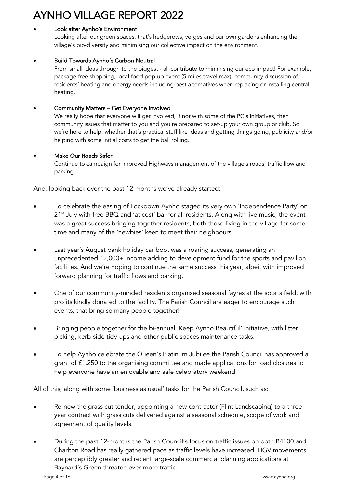#### Look after Aynho's Environment

Looking after our green spaces, that's hedgerows, verges and our own gardens enhancing the village's bio-diversity and minimising our collective impact on the environment.

#### • Build Towards Aynho's Carbon Neutral

From small ideas through to the biggest - all contribute to minimising our eco impact! For example, package-free shopping, local food pop-up event (5-miles travel max), community discussion of residents' heating and energy needs including best alternatives when replacing or installing central heating.

#### • Community Matters – Get Everyone Involved

We really hope that everyone will get involved, if not with some of the PC's initiatives, then community issues that matter to you and you're prepared to set-up your own group or club. So we're here to help, whether that's practical stuff like ideas and getting things going, publicity and/or helping with some initial costs to get the ball rolling.

#### • Make Our Roads Safer

Continue to campaign for improved Highways management of the village's roads, traffic flow and parking.

And, looking back over the past 12-months we've already started:

- To celebrate the easing of Lockdown Aynho staged its very own 'Independence Party' on  $21<sup>st</sup>$  July with free BBQ and 'at cost' bar for all residents. Along with live music, the event was a great success bringing together residents, both those living in the village for some time and many of the 'newbies' keen to meet their neighbours.
- Last year's August bank holiday car boot was a roaring success, generating an unprecedented £2,000+ income adding to development fund for the sports and pavilion facilities. And we're hoping to continue the same success this year, albeit with improved forward planning for traffic flows and parking.
- One of our community-minded residents organised seasonal fayres at the sports field, with profits kindly donated to the facility. The Parish Council are eager to encourage such events, that bring so many people together!
- Bringing people together for the bi-annual 'Keep Aynho Beautiful' initiative, with litter picking, kerb-side tidy-ups and other public spaces maintenance tasks.
- To help Aynho celebrate the Queen's Platinum Jubilee the Parish Council has approved a grant of £1,250 to the organising committee and made applications for road closures to help everyone have an enjoyable and safe celebratory weekend.

All of this, along with some 'business as usual' tasks for the Parish Council, such as:

- Re-new the grass cut tender, appointing a new contractor (Flint Landscaping) to a threeyear contract with grass cuts delivered against a seasonal schedule, scope of work and agreement of quality levels.
- During the past 12-months the Parish Council's focus on traffic issues on both B4100 and Charlton Road has really gathered pace as traffic levels have increased, HGV movements are perceptibly greater and recent large-scale commercial planning applications at Baynard's Green threaten ever-more traffic.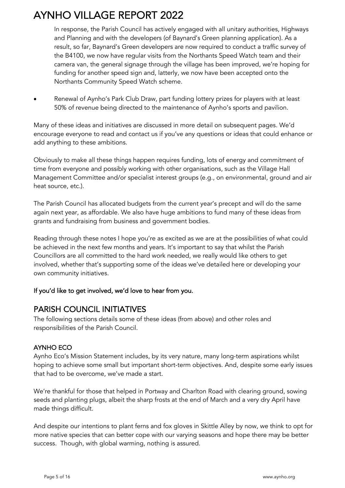In response, the Parish Council has actively engaged with all unitary authorities, Highways and Planning and with the developers (of Baynard's Green planning application). As a result, so far, Baynard's Green developers are now required to conduct a traffic survey of the B4100, we now have regular visits from the Northants Speed Watch team and their camera van, the general signage through the village has been improved, we're hoping for funding for another speed sign and, latterly, we now have been accepted onto the Northants Community Speed Watch scheme.

• Renewal of Aynho's Park Club Draw, part funding lottery prizes for players with at least 50% of revenue being directed to the maintenance of Aynho's sports and pavilion.

Many of these ideas and initiatives are discussed in more detail on subsequent pages. We'd encourage everyone to read and contact us if you've any questions or ideas that could enhance or add anything to these ambitions.

Obviously to make all these things happen requires funding, lots of energy and commitment of time from everyone and possibly working with other organisations, such as the Village Hall Management Committee and/or specialist interest groups (e.g., on environmental, ground and air heat source, etc.).

The Parish Council has allocated budgets from the current year's precept and will do the same again next year, as affordable. We also have huge ambitions to fund many of these ideas from grants and fundraising from business and government bodies.

Reading through these notes I hope you're as excited as we are at the possibilities of what could be achieved in the next few months and years. It's important to say that whilst the Parish Councillors are all committed to the hard work needed, we really would like others to get involved, whether that's supporting some of the ideas we've detailed here or developing your own community initiatives.

#### If you'd like to get involved, we'd love to hear from you.

### PARISH COUNCIL INITIATIVES

The following sections details some of these ideas (from above) and other roles and responsibilities of the Parish Council.

#### AYNHO ECO

Aynho Eco's Mission Statement includes, by its very nature, many long-term aspirations whilst hoping to achieve some small but important short-term objectives. And, despite some early issues that had to be overcome, we've made a start.

We're thankful for those that helped in Portway and Charlton Road with clearing ground, sowing seeds and planting plugs, albeit the sharp frosts at the end of March and a very dry April have made things difficult.

And despite our intentions to plant ferns and fox gloves in Skittle Alley by now, we think to opt for more native species that can better cope with our varying seasons and hope there may be better success. Though, with global warming, nothing is assured.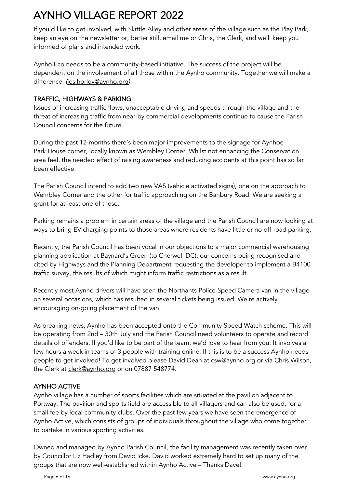If you'd like to get involved, with Skittle Alley and other areas of the village such as the Play Park, keep an eye on the newsletter or, better still, email me or Chris, the Clerk, and we'll keep you informed of plans and intended work.

Aynho Eco needs to be a community-based initiative. The success of the project will be dependent on the involvement of all those within the Aynho community. Together we will make a difference. *(*les.horley@aynho.org*)*

#### TRAFFIC, HIGHWAYS & PARKING

Issues of increasing traffic flows, unacceptable driving and speeds through the village and the threat of increasing traffic from near-by commercial developments continue to cause the Parish Council concerns for the future.

During the past 12-months there's been major improvements to the signage for Aynhoe Park House corner, locally known as Wembley Corner. Whilst not enhancing the Conservation area feel, the needed effect of raising awareness and reducing accidents at this point has so far been effective.

The Parish Council intend to add two new VAS (vehicle activated signs), one on the approach to Wembley Corner and the other for traffic approaching on the Banbury Road. We are seeking a grant for at least one of these.

Parking remains a problem in certain areas of the village and the Parish Council are now looking at ways to bring EV charging points to those areas where residents have little or no off-road parking.

Recently, the Parish Council has been vocal in our objections to a major commercial warehousing planning application at Baynard's Green (to Cherwell DC); our concerns being recognised and cited by Highways and the Planning Department requesting the developer to implement a B4100 traffic survey, the results of which might inform traffic restrictions as a result.

Recently most Aynho drivers will have seen the Northants Police Speed Camera van in the village on several occasions, which has resulted in several tickets being issued. We're actively encouraging on-going placement of the van.

As breaking news, Aynho has been accepted onto the Community Speed Watch scheme. This will be operating from 2nd – 30th July and the Parish Council need volunteers to operate and record details of offenders. If you'd like to be part of the team, we'd love to hear from you. It involves a few hours a week in teams of 3 people with training online. If this is to be a success Aynho needs people to get involved! To get involved please David Dean at csw@aynho.org or via Chris Wilson, the Clerk at clerk@aynho.org or on 07887 548774.

#### AYNHO ACTIVE

Aynho village has a number of sports facilities which are situated at the pavilion adjacent to Portway. The pavilion and sports field are accessible to all villagers and can also be used, for a small fee by local community clubs. Over the past few years we have seen the emergence of Aynho Active, which consists of groups of individuals throughout the village who come together to partake in various sporting activities.

Owned and managed by Aynho Parish Council, the facility management was recently taken over by Councillor Liz Hadley from David Icke. David worked extremely hard to set up many of the groups that are now well-established within Aynho Active – Thanks Dave!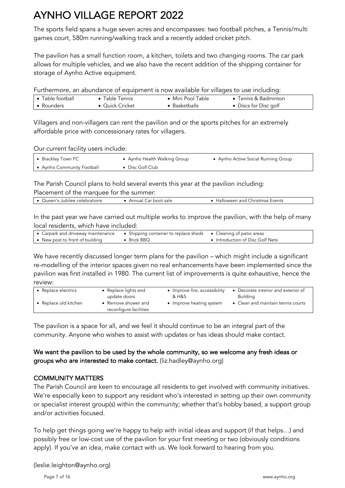The sports field spans a huge seven acres and encompasses: two football pitches, a Tennis/multi games court, 580m running/walking track and a recently added cricket pitch.

The pavilion has a small function room, a kitchen, toilets and two changing rooms. The car park allows for multiple vehicles, and we also have the recent addition of the shipping container for storage of Aynho Active equipment.

Furthermore, an abundance of equipment is now available for villages to use including:

| • Table football | Table Tennis    | $\bullet\,$ Mini Pool Table | • Tennis & Badminton  |
|------------------|-----------------|-----------------------------|-----------------------|
| • Rounders       | • Quick Cricket | Basketballs                 | • Discs for Disc golf |

Villagers and non-villagers can rent the pavilion and or the sports pitches for an extremely affordable price with concessionary rates for villagers.

Our current facility users include:

| ● Brackley Town FC         | • Aynho Health Walking Group | • Aynho Active Social Running Group |
|----------------------------|------------------------------|-------------------------------------|
| ● Aynho Community Football | • Disc Golf Club             |                                     |

The Parish Council plans to hold several events this year at the pavilion including:

| Placement of the marquee for the summer: |                      |                                |  |  |  |
|------------------------------------------|----------------------|--------------------------------|--|--|--|
| $\bullet$ Queen's Jubilee celebrations   | Annual Car boot sale | Halloween and Christmas Events |  |  |  |

In the past year we have carried out multiple works to improve the pavilion, with the help of many local residents, which have included:

| • Carpark and driveway maintenance | • Shipping container to replace sheds • Cleaning of patio areas |                                  |
|------------------------------------|-----------------------------------------------------------------|----------------------------------|
| • New post to front of building    | • Brick BBQ                                                     | • Introduction of Disc Golf Nets |

We have recently discussed longer term plans for the pavilion – which might include a significant re-modelling of the interior spaces given no real enhancements have been implemented since the pavilion was first installed in 1980. The current list of improvements is quite exhaustive, hence the review:

| • Replace electrics | • Replace lights and                          | • Improve fire, accessibility | • Decorate interior and exterior of |
|---------------------|-----------------------------------------------|-------------------------------|-------------------------------------|
|                     | update doors                                  | & H&S                         | <b>Building</b>                     |
| Replace old kitchen | • Remove shower and<br>reconfigure facilities | • Improve heating system      | • Clean and maintain tennis courts  |

The pavilion is a space for all, and we feel it should continue to be an integral part of the community. Anyone who wishes to assist with updates or has ideas should make contact.

#### We want the pavilion to be used by the whole community, so we welcome any fresh ideas or groups who are interested to make contact. (liz.hadley@aynho.org)

#### COMMUNITY MATTERS

The Parish Council are keen to encourage all residents to get involved with community initiatives. We're especially keen to support any resident who's interested in setting up their own community or specialist interest group(s) within the community; whether that's hobby based, a support group and/or activities focused.

To help get things going we're happy to help with initial ideas and support (if that helps…) and possibly free or low-cost use of the pavilion for your first meeting or two (obviously conditions apply). If you've an idea, make contact with us. We look forward to hearing from you.

(leslie.leighton@aynho.org)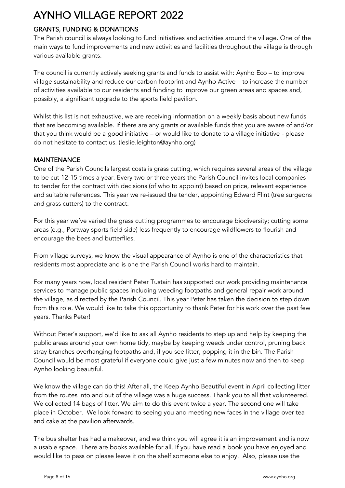#### GRANTS, FUNDING & DONATIONS

The Parish council is always looking to fund initiatives and activities around the village. One of the main ways to fund improvements and new activities and facilities throughout the village is through various available grants.

The council is currently actively seeking grants and funds to assist with: Aynho Eco – to improve village sustainability and reduce our carbon footprint and Aynho Active – to increase the number of activities available to our residents and funding to improve our green areas and spaces and, possibly, a significant upgrade to the sports field pavilion.

Whilst this list is not exhaustive, we are receiving information on a weekly basis about new funds that are becoming available. If there are any grants or available funds that you are aware of and/or that you think would be a good initiative – or would like to donate to a village initiative - please do not hesitate to contact us. (leslie.leighton@aynho.org)

#### **MAINTENANCE**

One of the Parish Councils largest costs is grass cutting, which requires several areas of the village to be cut 12-15 times a year. Every two or three years the Parish Council invites local companies to tender for the contract with decisions (of who to appoint) based on price, relevant experience and suitable references. This year we re-issued the tender, appointing Edward Flint (tree surgeons and grass cutters) to the contract.

For this year we've varied the grass cutting programmes to encourage biodiversity; cutting some areas (e.g., Portway sports field side) less frequently to encourage wildflowers to flourish and encourage the bees and butterflies.

From village surveys, we know the visual appearance of Aynho is one of the characteristics that residents most appreciate and is one the Parish Council works hard to maintain.

For many years now, local resident Peter Tustain has supported our work providing maintenance services to manage public spaces including weeding footpaths and general repair work around the village, as directed by the Parish Council. This year Peter has taken the decision to step down from this role. We would like to take this opportunity to thank Peter for his work over the past few years. Thanks Peter!

Without Peter's support, we'd like to ask all Aynho residents to step up and help by keeping the public areas around your own home tidy, maybe by keeping weeds under control, pruning back stray branches overhanging footpaths and, if you see litter, popping it in the bin. The Parish Council would be most grateful if everyone could give just a few minutes now and then to keep Aynho looking beautiful.

We know the village can do this! After all, the Keep Aynho Beautiful event in April collecting litter from the routes into and out of the village was a huge success. Thank you to all that volunteered. We collected 14 bags of litter. We aim to do this event twice a year. The second one will take place in October. We look forward to seeing you and meeting new faces in the village over tea and cake at the pavilion afterwards.

The bus shelter has had a makeover, and we think you will agree it is an improvement and is now a usable space. There are books available for all. If you have read a book you have enjoyed and would like to pass on please leave it on the shelf someone else to enjoy. Also, please use the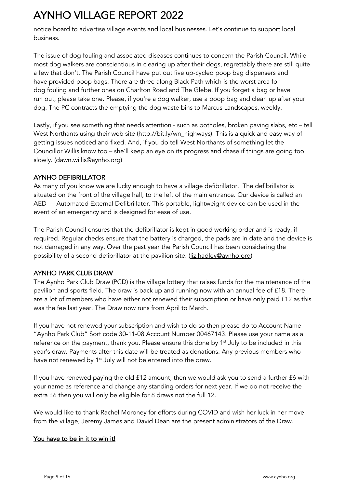notice board to advertise village events and local businesses. Let's continue to support local business.

The issue of dog fouling and associated diseases continues to concern the Parish Council. While most dog walkers are conscientious in clearing up after their dogs, regrettably there are still quite a few that don't. The Parish Council have put out five up-cycled poop bag dispensers and have provided poop bags. There are three along Black Path which is the worst area for dog fouling and further ones on Charlton Road and The Glebe. If you forget a bag or have run out, please take one. Please, if you're a dog walker, use a poop bag and clean up after your dog. The PC contracts the emptying the dog waste bins to Marcus Landscapes, weekly.

Lastly, if you see something that needs attention - such as potholes, broken paving slabs, etc – tell West Northants using their web site (http://bit.ly/wn\_highways). This is a quick and easy way of getting issues noticed and fixed. And, if you do tell West Northants of something let the Councillor Willis know too – she'll keep an eye on its progress and chase if things are going too slowly. (dawn.willis@aynho.org)

#### AYNHO DEFIBRILLATOR

As many of you know we are lucky enough to have a village defibrillator. The defibrillator is situated on the front of the village hall, to the left of the main entrance. Our device is called an AED — Automated External Defibrillator. This portable, lightweight device can be used in the event of an emergency and is designed for ease of use.

The Parish Council ensures that the defibrillator is kept in good working order and is ready, if required. Regular checks ensure that the battery is charged, the pads are in date and the device is not damaged in any way. Over the past year the Parish Council has been considering the possibility of a second defibrillator at the pavilion site. (liz.hadley@aynho.org)

#### AYNHO PARK CLUB DRAW

The Aynho Park Club Draw (PCD) is the village lottery that raises funds for the maintenance of the pavilion and sports field. The draw is back up and running now with an annual fee of £18. There are a lot of members who have either not renewed their subscription or have only paid £12 as this was the fee last year. The Draw now runs from April to March.

If you have not renewed your subscription and wish to do so then please do to Account Name "Aynho Park Club" Sort code 30-11-08 Account Number 00467143. Please use your name as a reference on the payment, thank you. Please ensure this done by  $1<sup>st</sup>$  July to be included in this year's draw. Payments after this date will be treated as donations. Any previous members who have not renewed by 1<sup>st</sup> July will not be entered into the draw.

If you have renewed paying the old £12 amount, then we would ask you to send a further £6 with your name as reference and change any standing orders for next year. If we do not receive the extra £6 then you will only be eligible for 8 draws not the full 12.

We would like to thank Rachel Moroney for efforts during COVID and wish her luck in her move from the village, Jeremy James and David Dean are the present administrators of the Draw.

#### You have to be in it to win it!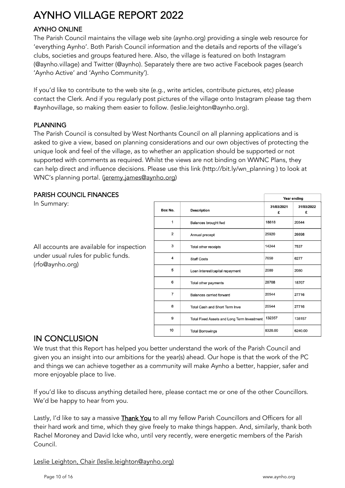#### AYNHO ONLINE

The Parish Council maintains the village web site (aynho.org) providing a single web resource for 'everything Aynho'. Both Parish Council information and the details and reports of the village's clubs, societies and groups featured here. Also, the village is featured on both Instagram (@aynho.village) and Twitter (@aynho). Separately there are two active Facebook pages (search 'Aynho Active' and 'Aynho Community').

If you'd like to contribute to the web site (e.g., write articles, contribute pictures, etc) please contact the Clerk. And if you regularly post pictures of the village onto Instagram please tag them #aynhovillage, so making them easier to follow. (leslie.leighton@aynho.org).

#### PLANNING

The Parish Council is consulted by West Northants Council on all planning applications and is asked to give a view, based on planning considerations and our own objectives of protecting the unique look and feel of the village, as to whether an application should be supported or not supported with comments as required. Whilst the views are not binding on WWNC Plans, they can help direct and influence decisions. Please use this link (http://bit.ly/wn\_planning ) to look at WNC's planning portal. (jeremy.james@aynho.org)

#### PARISH COUNCIL FINANCES

In Summary:

All accounts are available for inspection under usual rules for public funds. (rfo@aynho.org)

|                |                                             | Year ending     |                 |  |
|----------------|---------------------------------------------|-----------------|-----------------|--|
| Box No.        | <b>Description</b>                          | 31/03/2021<br>£ | 31/03/2022<br>£ |  |
| 1              | Balances brought fwd                        | 18818           | 20544           |  |
| $\overline{2}$ | Annual precept                              | 25920           | 26698           |  |
| 3              | Total other receipts                        | 14244           | 7537            |  |
| 4              | <b>Staff Costs</b>                          | 7650            | 6277            |  |
| 5              | Loan interest/capital repayment             | 2080            | 2080            |  |
| 6              | Total other payments                        | 28708           | 18707           |  |
| $\overline{7}$ | Balances carried forward                    | 20544           | 27716           |  |
| 8              | <b>Total Cash and Short Term Inve</b>       | 20544           | 27716           |  |
| 9              | Total Fixed Assets and Long Term Investment | 132357          | 138157          |  |
| 10             | <b>Total Borrowings</b>                     | 8320.00         | 6240.00         |  |

### IN CONCLUSION

We trust that this Report has helped you better understand the work of the Parish Council and given you an insight into our ambitions for the year(s) ahead. Our hope is that the work of the PC and things we can achieve together as a community will make Aynho a better, happier, safer and more enjoyable place to live.

If you'd like to discuss anything detailed here, please contact me or one of the other Councillors. We'd be happy to hear from you.

Lastly, I'd like to say a massive **Thank You** to all my fellow Parish Councillors and Officers for all their hard work and time, which they give freely to make things happen. And, similarly, thank both Rachel Moroney and David Icke who, until very recently, were energetic members of the Parish Council.

Leslie Leighton, Chair (leslie.leighton@aynho.org)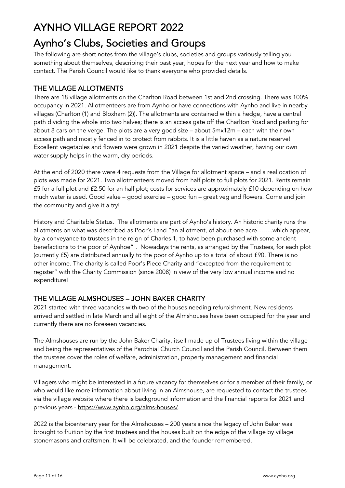# Aynho's Clubs, Societies and Groups<br>The following are short notes from the village's clubs, societies and groups variously telling you

something about themselves, describing their past year, hopes for the next year and how to make contact. The Parish Council would like to thank everyone who provided details.

#### THE VILLAGE ALLOTMENTS

There are 18 village allotments on the Charlton Road between 1st and 2nd crossing. There was 100% occupancy in 2021. Allotmenteers are from Aynho or have connections with Aynho and live in nearby villages (Charlton (1) and Bloxham (2)). The allotments are contained within a hedge, have a central path dividing the whole into two halves; there is an access gate off the Charlton Road and parking for about 8 cars on the verge. The plots are a very good size – about 5mx12m – each with their own access path and mostly fenced in to protect from rabbits. It is a little haven as a nature reserve! Excellent vegetables and flowers were grown in 2021 despite the varied weather; having our own water supply helps in the warm, dry periods.

At the end of 2020 there were 4 requests from the Village for allotment space – and a reallocation of plots was made for 2021. Two allotmenteers moved from half plots to full plots for 2021. Rents remain £5 for a full plot and £2.50 for an half plot; costs for services are approximately £10 depending on how much water is used. Good value – good exercise – good fun – great veg and flowers. Come and join the community and give it a try!

History and Charitable Status. The allotments are part of Aynho's history. An historic charity runs the allotments on what was described as Poor's Land "an allotment, of about one acre……..which appear, by a conveyance to trustees in the reign of Charles 1, to have been purchased with some ancient benefactions to the poor of Aynhoe" . Nowadays the rents, as arranged by the Trustees, for each plot (currently £5) are distributed annually to the poor of Aynho up to a total of about £90. There is no other income. The charity is called Poor's Piece Charity and "excepted from the requirement to register" with the Charity Commission (since 2008) in view of the very low annual income and no expenditure!

#### THE VILLAGE ALMSHOUSES – JOHN BAKER CHARITY

2021 started with three vacancies with two of the houses needing refurbishment. New residents arrived and settled in late March and all eight of the Almshouses have been occupied for the year and currently there are no foreseen vacancies.

The Almshouses are run by the John Baker Charity, itself made up of Trustees living within the village and being the representatives of the Parochial Church Council and the Parish Council. Between them the trustees cover the roles of welfare, administration, property management and financial management.

Villagers who might be interested in a future vacancy for themselves or for a member of their family, or who would like more information about living in an Almshouse, are requested to contact the trustees via the village website where there is background information and the financial reports for 2021 and previous years - https://www.aynho.org/alms-houses/.

2022 is the bicentenary year for the Almshouses – 200 years since the legacy of John Baker was brought to fruition by the first trustees and the houses built on the edge of the village by village stonemasons and craftsmen. It will be celebrated, and the founder remembered.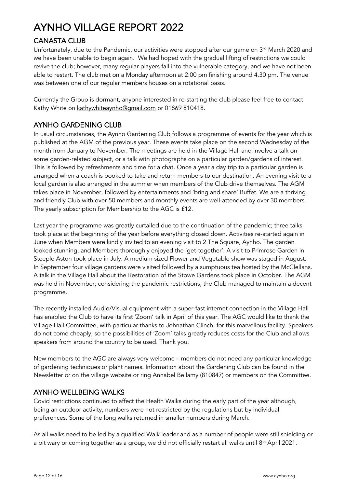### CANASTA CLUB

Unfortunately, due to the Pandemic, our activities were stopped after our game on 3<sup>rd</sup> March 2020 and we have been unable to begin again. We had hoped with the gradual lifting of restrictions we could revive the club; however, many regular players fall into the vulnerable category, and we have not been able to restart. The club met on a Monday afternoon at 2.00 pm finishing around 4.30 pm. The venue was between one of our regular members houses on a rotational basis.

Currently the Group is dormant, anyone interested in re-starting the club please feel free to contact Kathy White on kathywhiteaynho@gmail.com or 01869 810418.

#### AYNHO GARDENING CLUB

In usual circumstances, the Aynho Gardening Club follows a programme of events for the year which is published at the AGM of the previous year. These events take place on the second Wednesday of the month from January to November. The meetings are held in the Village Hall and involve a talk on some garden-related subject, or a talk with photographs on a particular garden/gardens of interest. This is followed by refreshments and time for a chat. Once a year a day trip to a particular garden is arranged when a coach is booked to take and return members to our destination. An evening visit to a local garden is also arranged in the summer when members of the Club drive themselves. The AGM takes place in November, followed by entertainments and 'bring and share' Buffet. We are a thriving and friendly Club with over 50 members and monthly events are well-attended by over 30 members. The yearly subscription for Membership to the AGC is £12.

Last year the programme was greatly curtailed due to the continuation of the pandemic; three talks took place at the beginning of the year before everything closed down. Activities re-started again in June when Members were kindly invited to an evening visit to 2 The Square, Aynho. The garden looked stunning, and Members thoroughly enjoyed the 'get-together'. A visit to Primrose Garden in Steeple Aston took place in July. A medium sized Flower and Vegetable show was staged in August. In September four village gardens were visited followed by a sumptuous tea hosted by the McClellans. A talk in the Village Hall about the Restoration of the Stowe Gardens took place in October. The AGM was held in November; considering the pandemic restrictions, the Club managed to maintain a decent programme.

The recently installed Audio/Visual equipment with a super-fast internet connection in the Village Hall has enabled the Club to have its first 'Zoom' talk in April of this year. The AGC would like to thank the Village Hall Committee, with particular thanks to Johnathan Clinch, for this marvellous facility. Speakers do not come cheaply, so the possibilities of 'Zoom' talks greatly reduces costs for the Club and allows speakers from around the country to be used. Thank you.

New members to the AGC are always very welcome – members do not need any particular knowledge of gardening techniques or plant names. Information about the Gardening Club can be found in the Newsletter or on the village website or ring Annabel Bellamy (810847) or members on the Committee.

#### AYNHO WELLBEING WALKS

Covid restrictions continued to affect the Health Walks during the early part of the year although, being an outdoor activity, numbers were not restricted by the regulations but by individual preferences. Some of the long walks returned in smaller numbers during March.

As all walks need to be led by a qualified Walk leader and as a number of people were still shielding or a bit wary or coming together as a group, we did not officially restart all walks until 8<sup>th</sup> April 2021.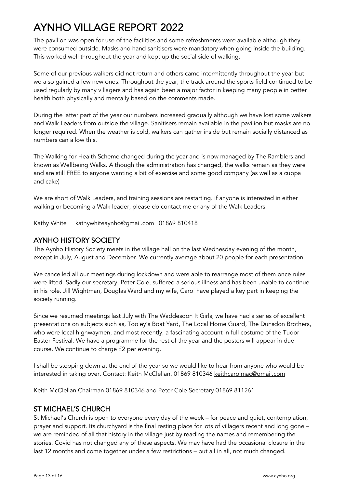The pavilion was open for use of the facilities and some refreshments were available although they were consumed outside. Masks and hand sanitisers were mandatory when going inside the building. This worked well throughout the year and kept up the social side of walking.

Some of our previous walkers did not return and others came intermittently throughout the year but we also gained a few new ones. Throughout the year, the track around the sports field continued to be used regularly by many villagers and has again been a major factor in keeping many people in better health both physically and mentally based on the comments made.

During the latter part of the year our numbers increased gradually although we have lost some walkers and Walk Leaders from outside the village. Sanitisers remain available in the pavilion but masks are no longer required. When the weather is cold, walkers can gather inside but remain socially distanced as numbers can allow this.

The Walking for Health Scheme changed during the year and is now managed by The Ramblers and known as Wellbeing Walks. Although the administration has changed, the walks remain as they were and are still FREE to anyone wanting a bit of exercise and some good company (as well as a cuppa and cake)

We are short of Walk Leaders, and training sessions are restarting. if anyone is interested in either walking or becoming a Walk leader, please do contact me or any of the Walk Leaders.

Kathy White kathywhiteaynho@gmail.com 01869 810418

#### AYNHO HISTORY SOCIETY

The Aynho History Society meets in the village hall on the last Wednesday evening of the month, except in July, August and December. We currently average about 20 people for each presentation.

We cancelled all our meetings during lockdown and were able to rearrange most of them once rules were lifted. Sadly our secretary, Peter Cole, suffered a serious illness and has been unable to continue in his role. Jill Wightman, Douglas Ward and my wife, Carol have played a key part in keeping the society running.

Since we resumed meetings last July with The Waddesdon It Girls, we have had a series of excellent presentations on subjects such as, Tooley's Boat Yard, The Local Home Guard, The Dunsdon Brothers, who were local highwaymen, and most recently, a fascinating account in full costume of the Tudor Easter Festival. We have a programme for the rest of the year and the posters will appear in due course. We continue to charge £2 per evening.

I shall be stepping down at the end of the year so we would like to hear from anyone who would be interested in taking over. Contact: Keith McClellan, 01869 810346 keithcarolmac@gmail.com

Keith McClellan Chairman 01869 810346 and Peter Cole Secretary 01869 811261

#### ST MICHAEL'S CHURCH

St Michael's Church is open to everyone every day of the week – for peace and quiet, contemplation, prayer and support. Its churchyard is the final resting place for lots of villagers recent and long gone – we are reminded of all that history in the village just by reading the names and remembering the stories. Covid has not changed any of these aspects. We may have had the occasional closure in the last 12 months and come together under a few restrictions – but all in all, not much changed.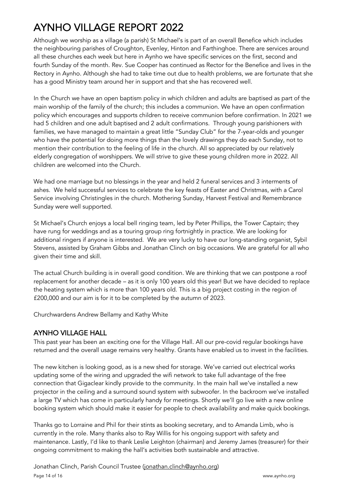Although we worship as a village (a parish) St Michael's is part of an overall Benefice which includes the neighbouring parishes of Croughton, Evenley, Hinton and Farthinghoe. There are services around all these churches each week but here in Aynho we have specific services on the first, second and fourth Sunday of the month. Rev. Sue Cooper has continued as Rector for the Benefice and lives in the Rectory in Aynho. Although she had to take time out due to health problems, we are fortunate that she has a good Ministry team around her in support and that she has recovered well.

In the Church we have an open baptism policy in which children and adults are baptised as part of the main worship of the family of the church; this includes a communion. We have an open confirmation policy which encourages and supports children to receive communion before confirmation. In 2021 we had 5 children and one adult baptised and 2 adult confirmations. Through young parishioners with families, we have managed to maintain a great little "Sunday Club" for the 7-year-olds and younger who have the potential for doing more things than the lovely drawings they do each Sunday, not to mention their contribution to the feeling of life in the church. All so appreciated by our relatively elderly congregation of worshippers. We will strive to give these young children more in 2022. All children are welcomed into the Church.

We had one marriage but no blessings in the year and held 2 funeral services and 3 interments of ashes. We held successful services to celebrate the key feasts of Easter and Christmas, with a Carol Service involving Christingles in the church. Mothering Sunday, Harvest Festival and Remembrance Sunday were well supported.

St Michael's Church enjoys a local bell ringing team, led by Peter Phillips, the Tower Captain; they have rung for weddings and as a touring group ring fortnightly in practice. We are looking for additional ringers if anyone is interested. We are very lucky to have our long-standing organist, Sybil Stevens, assisted by Graham Gibbs and Jonathan Clinch on big occasions. We are grateful for all who given their time and skill.

The actual Church building is in overall good condition. We are thinking that we can postpone a roof replacement for another decade – as it is only 100 years old this year! But we have decided to replace the heating system which is more than 100 years old. This is a big project costing in the region of £200,000 and our aim is for it to be completed by the autumn of 2023.

Churchwardens Andrew Bellamy and Kathy White

#### AYNHO VILLAGE HALL

This past year has been an exciting one for the Village Hall. All our pre-covid regular bookings have returned and the overall usage remains very healthy. Grants have enabled us to invest in the facilities.

The new kitchen is looking good, as is a new shed for storage. We've carried out electrical works updating some of the wiring and upgraded the wifi network to take full advantage of the free connection that Gigaclear kindly provide to the community. In the main hall we've installed a new projector in the ceiling and a surround sound system with subwoofer. In the backroom we've installed a large TV which has come in particularly handy for meetings. Shortly we'll go live with a new online booking system which should make it easier for people to check availability and make quick bookings.

Thanks go to Lorraine and Phil for their stints as booking secretary, and to Amanda Limb, who is currently in the role. Many thanks also to Ray Willis for his ongoing support with safety and maintenance. Lastly, I'd like to thank Leslie Leighton (chairman) and Jeremy James (treasurer) for their ongoing commitment to making the hall's activities both sustainable and attractive.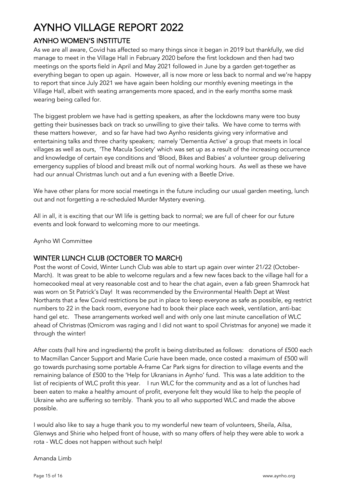### AYNHO WOMEN'S INSTITUTE

As we are all aware, Covid has affected so many things since it began in 2019 but thankfully, we did manage to meet in the Village Hall in February 2020 before the first lockdown and then had two meetings on the sports field in April and May 2021 followed in June by a garden get-together as everything began to open up again. However, all is now more or less back to normal and we're happy to report that since July 2021 we have again been holding our monthly evening meetings in the Village Hall, albeit with seating arrangements more spaced, and in the early months some mask wearing being called for.

The biggest problem we have had is getting speakers, as after the lockdowns many were too busy getting their businesses back on track so unwilling to give their talks. We have come to terms with these matters however, and so far have had two Aynho residents giving very informative and entertaining talks and three charity speakers; namely 'Dementia Active' a group that meets in local villages as well as ours, 'The Macula Society' which was set up as a result of the increasing occurrence and knowledge of certain eye conditions and 'Blood, Bikes and Babies' a volunteer group delivering emergency supplies of blood and breast milk out of normal working hours. As well as these we have had our annual Christmas lunch out and a fun evening with a Beetle Drive.

We have other plans for more social meetings in the future including our usual garden meeting, lunch out and not forgetting a re-scheduled Murder Mystery evening.

All in all, it is exciting that our WI life is getting back to normal; we are full of cheer for our future events and look forward to welcoming more to our meetings.

Aynho WI Committee

#### WINTER LUNCH CLUB (OCTOBER TO MARCH)

Post the worst of Covid, Winter Lunch Club was able to start up again over winter 21/22 (October-March). It was great to be able to welcome regulars and a few new faces back to the village hall for a homecooked meal at very reasonable cost and to hear the chat again, even a fab green Shamrock hat was worn on St Patrick's Day! It was recommended by the Environmental Health Dept at West Northants that a few Covid restrictions be put in place to keep everyone as safe as possible, eg restrict numbers to 22 in the back room, everyone had to book their place each week, ventilation, anti-bac hand gel etc. These arrangements worked well and with only one last minute cancellation of WLC ahead of Christmas (Omicrom was raging and I did not want to spoil Christmas for anyone) we made it through the winter!

After costs (hall hire and ingredients) the profit is being distributed as follows: donations of £500 each to Macmillan Cancer Support and Marie Curie have been made, once costed a maximum of £500 will go towards purchasing some portable A-frame Car Park signs for direction to village events and the remaining balance of £500 to the 'Help for Ukranians in Aynho' fund. This was a late addition to the list of recipients of WLC profit this year. I run WLC for the community and as a lot of lunches had been eaten to make a healthy amount of profit, everyone felt they would like to help the people of Ukraine who are suffering so terribly. Thank you to all who supported WLC and made the above possible.

I would also like to say a huge thank you to my wonderful new team of volunteers, Sheila, Ailsa, Glenwys and Shirie who helped front of house, with so many offers of help they were able to work a rota - WLC does not happen without such help!

Amanda Limb